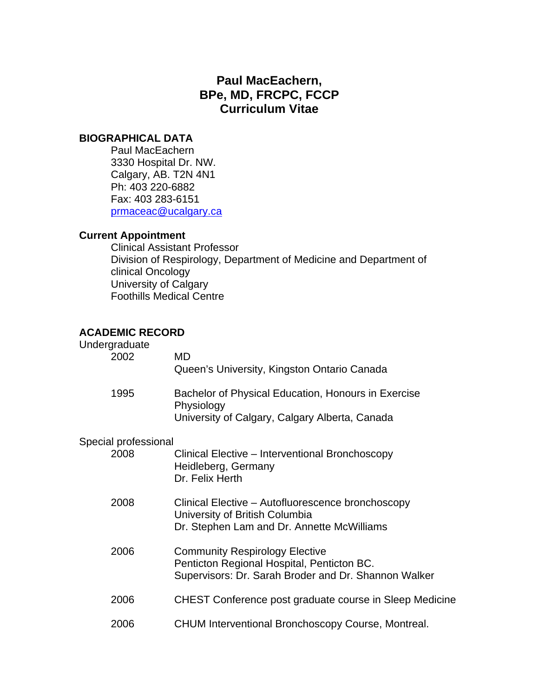# **Paul MacEachern, BPe, MD, FRCPC, FCCP Curriculum Vitae**

## **BIOGRAPHICAL DATA**

 Paul MacEachern 3330 Hospital Dr. NW. Calgary, AB. T2N 4N1 Ph: 403 220-6882 Fax: 403 283-6151 prmaceac@ucalgary.ca

# **Current Appointment**

 Clinical Assistant Professor Division of Respirology, Department of Medicine and Department of clinical Oncology University of Calgary Foothills Medical Centre

## **ACADEMIC RECORD**

| Undergraduate<br>2002 | MD<br>Queen's University, Kingston Ontario Canada                                                                                           |
|-----------------------|---------------------------------------------------------------------------------------------------------------------------------------------|
| 1995                  | Bachelor of Physical Education, Honours in Exercise<br>Physiology<br>University of Calgary, Calgary Alberta, Canada                         |
| Special professional  |                                                                                                                                             |
| 2008                  | Clinical Elective – Interventional Bronchoscopy<br>Heidleberg, Germany<br>Dr. Felix Herth                                                   |
| 2008                  | Clinical Elective - Autofluorescence bronchoscopy<br>University of British Columbia<br>Dr. Stephen Lam and Dr. Annette McWilliams           |
| 2006                  | <b>Community Respirology Elective</b><br>Penticton Regional Hospital, Penticton BC.<br>Supervisors: Dr. Sarah Broder and Dr. Shannon Walker |
| 2006                  | CHEST Conference post graduate course in Sleep Medicine                                                                                     |
| 2006                  | <b>CHUM Interventional Bronchoscopy Course, Montreal.</b>                                                                                   |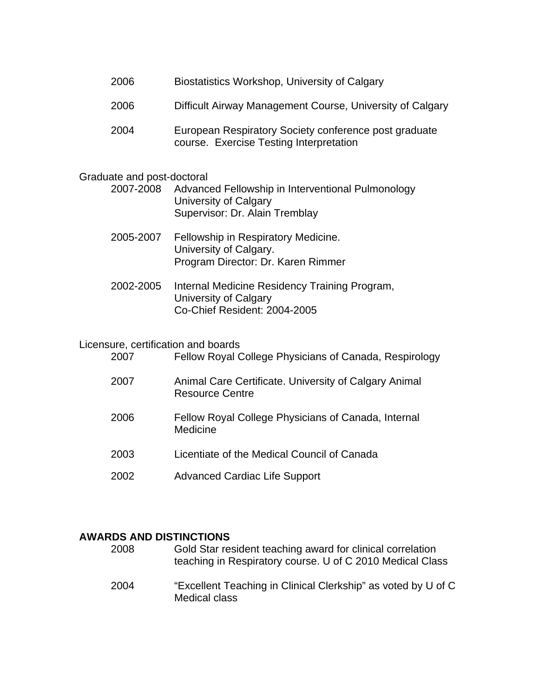- 2006 Biostatistics Workshop, University of Calgary
- 2006 Difficult Airway Management Course, University of Calgary
- 2004 European Respiratory Society conference post graduate course. Exercise Testing Interpretation

#### Graduate and post-doctoral

- 2007-2008 Advanced Fellowship in Interventional Pulmonology University of Calgary Supervisor: Dr. Alain Tremblay
- 2005-2007 Fellowship in Respiratory Medicine. University of Calgary. Program Director: Dr. Karen Rimmer
- 2002-2005 Internal Medicine Residency Training Program, University of Calgary Co-Chief Resident: 2004-2005

#### Licensure, certification and boards

| 2007 | Fellow Royal College Physicians of Canada, Respirology                          |
|------|---------------------------------------------------------------------------------|
| 2007 | Animal Care Certificate. University of Calgary Animal<br><b>Resource Centre</b> |
| 2006 | Fellow Royal College Physicians of Canada, Internal<br>Medicine                 |
| 2003 | Licentiate of the Medical Council of Canada                                     |
| 2002 | <b>Advanced Cardiac Life Support</b>                                            |

#### **AWARDS AND DISTINCTIONS**

2008 Gold Star resident teaching award for clinical correlation teaching in Respiratory course. U of C 2010 Medical Class 2004 "Excellent Teaching in Clinical Clerkship" as voted by U of C Medical class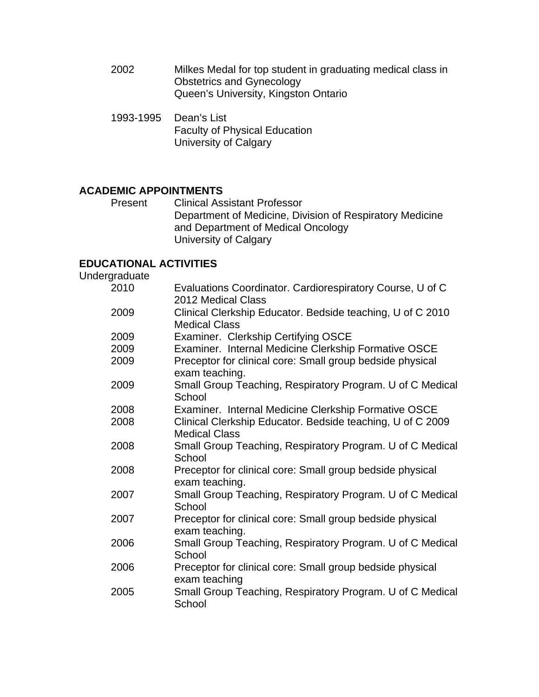- 2002 Milkes Medal for top student in graduating medical class in Obstetrics and Gynecology Queen's University, Kingston Ontario
- 1993-1995 Dean's List Faculty of Physical Education University of Calgary

# **ACADEMIC APPOINTMENTS**

Present Clinical Assistant Professor Department of Medicine, Division of Respiratory Medicine and Department of Medical Oncology University of Calgary

## **EDUCATIONAL ACTIVITIES**

Undergraduate

| 2010 | Evaluations Coordinator. Cardiorespiratory Course, U of C                          |
|------|------------------------------------------------------------------------------------|
|      | 2012 Medical Class                                                                 |
| 2009 | Clinical Clerkship Educator. Bedside teaching, U of C 2010<br><b>Medical Class</b> |
| 2009 | Examiner. Clerkship Certifying OSCE                                                |
| 2009 | Examiner. Internal Medicine Clerkship Formative OSCE                               |
| 2009 | Preceptor for clinical core: Small group bedside physical<br>exam teaching.        |
| 2009 | Small Group Teaching, Respiratory Program. U of C Medical<br>School                |
| 2008 | Examiner. Internal Medicine Clerkship Formative OSCE                               |
| 2008 | Clinical Clerkship Educator. Bedside teaching, U of C 2009<br><b>Medical Class</b> |
| 2008 | Small Group Teaching, Respiratory Program. U of C Medical<br>School                |
| 2008 | Preceptor for clinical core: Small group bedside physical<br>exam teaching.        |
| 2007 | Small Group Teaching, Respiratory Program. U of C Medical<br>School                |
| 2007 | Preceptor for clinical core: Small group bedside physical<br>exam teaching.        |
| 2006 | Small Group Teaching, Respiratory Program. U of C Medical<br>School                |
| 2006 | Preceptor for clinical core: Small group bedside physical<br>exam teaching         |
| 2005 | Small Group Teaching, Respiratory Program. U of C Medical<br>School                |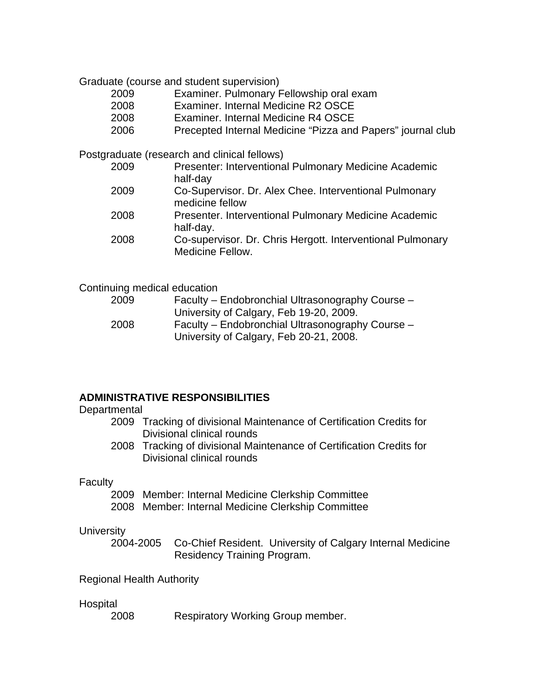Graduate (course and student supervision)

- 2009 Examiner. Pulmonary Fellowship oral exam
- 2008 Examiner. Internal Medicine R2 OSCE
- 2008 Examiner. Internal Medicine R4 OSCE
- 2006 Precepted Internal Medicine "Pizza and Papers" journal club

Postgraduate (research and clinical fellows)

- 2009 Presenter: Interventional Pulmonary Medicine Academic half-day
- 2009 Co-Supervisor. Dr. Alex Chee. Interventional Pulmonary medicine fellow
- 2008 Presenter. Interventional Pulmonary Medicine Academic half-day.
- 2008 Co-supervisor. Dr. Chris Hergott. Interventional Pulmonary Medicine Fellow.

|  |  | Continuing medical education |
|--|--|------------------------------|
|--|--|------------------------------|

| 2009 | Faculty – Endobronchial Ultrasonography Course – |
|------|--------------------------------------------------|
|      | University of Calgary, Feb 19-20, 2009.          |
| 2008 | Faculty – Endobronchial Ultrasonography Course – |
|      | University of Calgary, Feb 20-21, 2008.          |

## **ADMINISTRATIVE RESPONSIBILITIES**

#### **Departmental**

- 2009 Tracking of divisional Maintenance of Certification Credits for Divisional clinical rounds
- 2008 Tracking of divisional Maintenance of Certification Credits for Divisional clinical rounds

## **Faculty**

- 2009 Member: Internal Medicine Clerkship Committee
- 2008 Member: Internal Medicine Clerkship Committee

## **University**

 2004-2005 Co-Chief Resident. University of Calgary Internal Medicine Residency Training Program.

## Regional Health Authority

#### Hospital

2008 Respiratory Working Group member.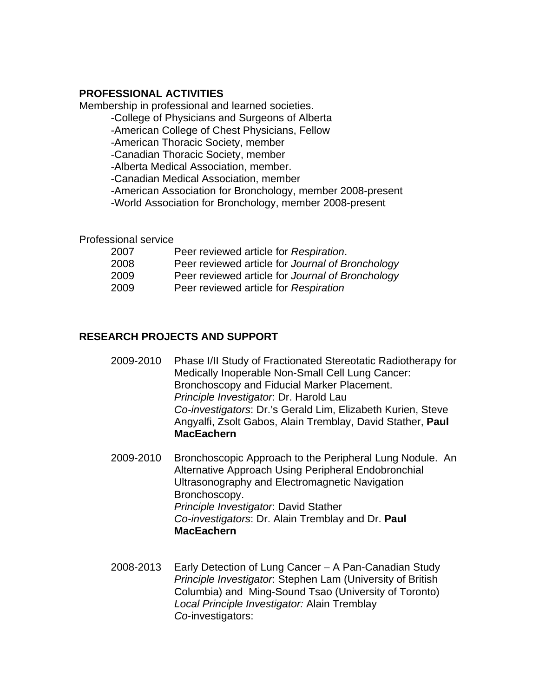## **PROFESSIONAL ACTIVITIES**

Membership in professional and learned societies.

-College of Physicians and Surgeons of Alberta

-American College of Chest Physicians, Fellow

-American Thoracic Society, member

-Canadian Thoracic Society, member

-Alberta Medical Association, member.

-Canadian Medical Association, member

 -American Association for Bronchology, member 2008-present -World Association for Bronchology, member 2008-present

Professional service

| 2007 | Peer reviewed article for Respiration.           |
|------|--------------------------------------------------|
| 2008 | Peer reviewed article for Journal of Bronchology |
| 2009 | Peer reviewed article for Journal of Bronchology |
| 2009 | Peer reviewed article for Respiration            |

# **RESEARCH PROJECTS AND SUPPORT**

- 2009-2010 Phase I/II Study of Fractionated Stereotatic Radiotherapy for Medically Inoperable Non-Small Cell Lung Cancer: Bronchoscopy and Fiducial Marker Placement. *Principle Investigator*: Dr. Harold Lau *Co-investigators*: Dr.'s Gerald Lim, Elizabeth Kurien, Steve Angyalfi, Zsolt Gabos, Alain Tremblay, David Stather, **Paul MacEachern**
- 2009-2010 Bronchoscopic Approach to the Peripheral Lung Nodule. An Alternative Approach Using Peripheral Endobronchial Ultrasonography and Electromagnetic Navigation Bronchoscopy. *Principle Investigator*: David Stather *Co-investigators*: Dr. Alain Tremblay and Dr. **Paul MacEachern**
- 2008-2013 Early Detection of Lung Cancer A Pan-Canadian Study *Principle Investigator*: Stephen Lam (University of British Columbia) and Ming-Sound Tsao (University of Toronto)  *Local Principle Investigator:* Alain Tremblay *Co*-investigators: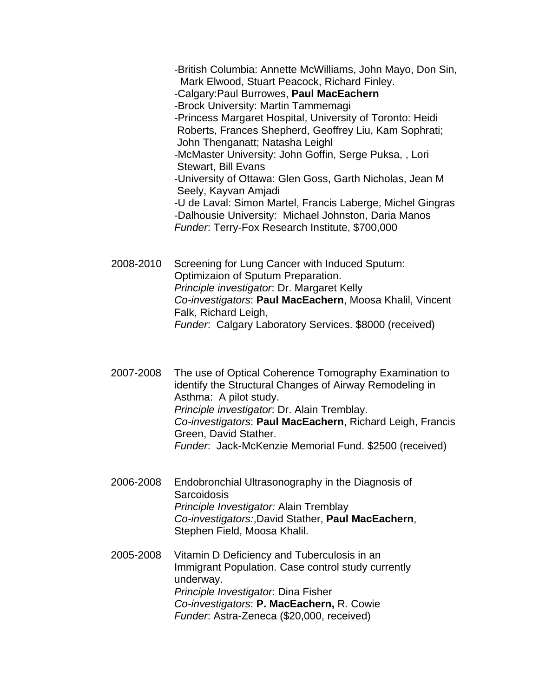*-*British Columbia: Annette McWilliams, John Mayo, Don Sin, Mark Elwood, Stuart Peacock, Richard Finley.

-Calgary:Paul Burrowes, **Paul MacEachern**

-Brock University: Martin Tammemagi

 -Princess Margaret Hospital, University of Toronto: Heidi Roberts, Frances Shepherd, Geoffrey Liu, Kam Sophrati; John Thenganatt; Natasha Leighl

 -McMaster University: John Goffin, Serge Puksa, , Lori Stewart, Bill Evans

 -University of Ottawa: Glen Goss, Garth Nicholas, Jean M Seely, Kayvan Amjadi

 -U de Laval: Simon Martel, Francis Laberge, Michel Gingras -Dalhousie University: Michael Johnston, Daria Manos  *Funder*: Terry-Fox Research Institute, \$700,000

2008-2010 Screening for Lung Cancer with Induced Sputum: Optimizaion of Sputum Preparation. *Principle investigator*: Dr. Margaret Kelly *Co-investigators*: **Paul MacEachern**, Moosa Khalil, Vincent Falk, Richard Leigh, *Funder*: Calgary Laboratory Services. \$8000 (received)

 2007-2008 The use of Optical Coherence Tomography Examination to identify the Structural Changes of Airway Remodeling in Asthma: A pilot study. *Principle investigator*: Dr. Alain Tremblay. *Co-investigators*: **Paul MacEachern**, Richard Leigh, Francis Green, David Stather. *Funder*: Jack-McKenzie Memorial Fund. \$2500 (received)

- 2006-2008 Endobronchial Ultrasonography in the Diagnosis of **Sarcoidosis**  *Principle Investigator:* Alain Tremblay *Co-investigators:*,David Stather, **Paul MacEachern**, Stephen Field, Moosa Khalil.
- 2005-2008 Vitamin D Deficiency and Tuberculosis in an Immigrant Population. Case control study currently underway. *Principle Investigator*: Dina Fisher *Co-investigators*: **P. MacEachern,** R. Cowie *Funder*: Astra-Zeneca (\$20,000, received)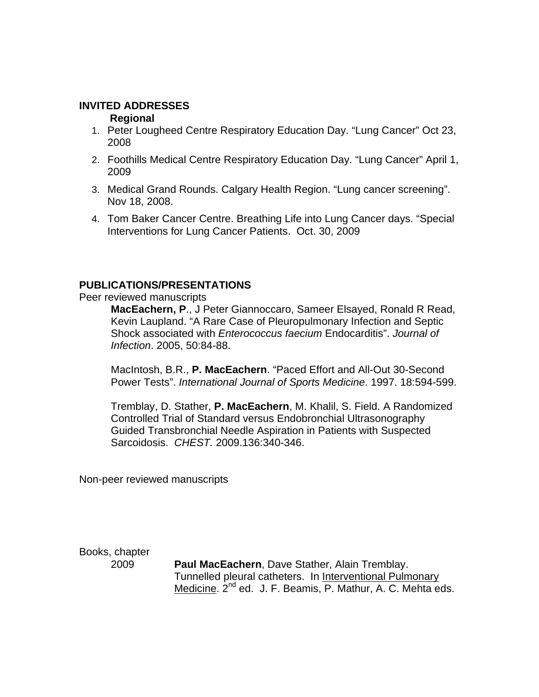#### **INVITED ADDRESSES**

#### **Regional**

- 1. Peter Lougheed Centre Respiratory Education Day. "Lung Cancer" Oct 23, 2008
- 2. Foothills Medical Centre Respiratory Education Day. "Lung Cancer" April 1, 2009
- 3. Medical Grand Rounds. Calgary Health Region. "Lung cancer screening". Nov 18, 2008.
- 4. Tom Baker Cancer Centre. Breathing Life into Lung Cancer days. "Special Interventions for Lung Cancer Patients. Oct. 30, 2009

## **PUBLICATIONS/PRESENTATIONS**

#### Peer reviewed manuscripts

**MacEachern, P**., J Peter Giannoccaro, Sameer Elsayed, Ronald R Read, Kevin Laupland. "A Rare Case of Pleuropulmonary Infection and Septic Shock associated with *Enterococcus faecium* Endocarditis". *Journal of Infection*. 2005, 50:84-88.

 MacIntosh, B.R., **P. MacEachern**. "Paced Effort and All-Out 30-Second Power Tests". *International Journal of Sports Medicine*. 1997. 18:594-599.

Tremblay, D. Stather, **P. MacEachern**, M. Khalil, S. Field. A Randomized Controlled Trial of Standard versus Endobronchial Ultrasonography Guided Transbronchial Needle Aspiration in Patients with Suspected Sarcoidosis. *CHEST.* 2009.136:340-346.

Non-peer reviewed manuscripts

Books, chapter

 2009**Paul MacEachern**, Dave Stather, Alain Tremblay. Tunnelled pleural catheters. In Interventional Pulmonary Medicine. 2<sup>nd</sup> ed. J. F. Beamis, P. Mathur, A. C. Mehta eds.